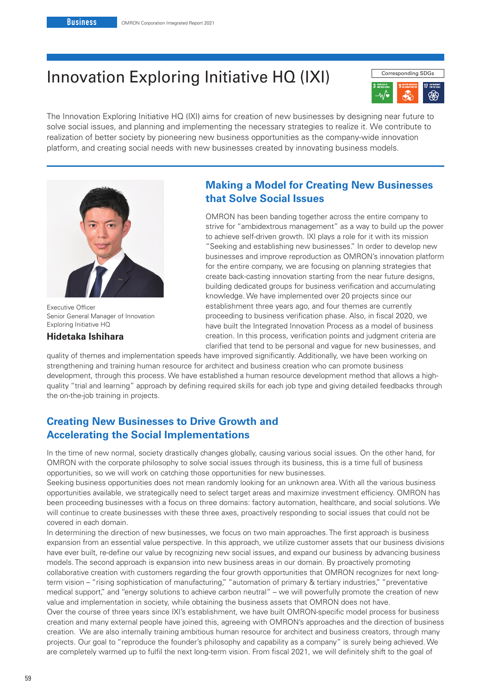# Innovation Exploring Initiative HQ (IXI) Corresponding SDGs



The Innovation Exploring Initiative HQ (IXI) aims for creation of new businesses by designing near future to solve social issues, and planning and implementing the necessary strategies to realize it. We contribute to realization of better society by pioneering new business opportunities as the company-wide innovation platform, and creating social needs with new businesses created by innovating business models.



Executive Officer Senior General Manager of Innovation Exploring Initiative HQ

### **Hidetaka Ishihara**

# **Making a Model for Creating New Businesses that Solve Social Issues**

OMRON has been banding together across the entire company to strive for "ambidextrous management" as a way to build up the power to achieve self-driven growth. IXI plays a role for it with its mission "Seeking and establishing new businesses." In order to develop new businesses and improve reproduction as OMRON's innovation platform for the entire company, we are focusing on planning strategies that create back-casting innovation starting from the near future designs, building dedicated groups for business verification and accumulating knowledge. We have implemented over 20 projects since our establishment three years ago, and four themes are currently proceeding to business verification phase. Also, in fiscal 2020, we have built the Integrated Innovation Process as a model of business creation. In this process, verification points and judgment criteria are clarified that tend to be personal and vague for new businesses, and

quality of themes and implementation speeds have improved significantly. Additionally, we have been working on strengthening and training human resource for architect and business creation who can promote business development, through this process. We have established a human resource development method that allows a highquality "trial and learning" approach by defining required skills for each job type and giving detailed feedbacks through the on-the-job training in projects.

# **Creating New Businesses to Drive Growth and Accelerating the Social Implementations**

In the time of new normal, society drastically changes globally, causing various social issues. On the other hand, for OMRON with the corporate philosophy to solve social issues through its business, this is a time full of business opportunities, so we will work on catching those opportunities for new businesses.

Seeking business opportunities does not mean randomly looking for an unknown area. With all the various business opportunities available, we strategically need to select target areas and maximize investment efficiency. OMRON has been proceeding businesses with a focus on three domains: factory automation, healthcare, and social solutions. We will continue to create businesses with these three axes, proactively responding to social issues that could not be covered in each domain.

In determining the direction of new businesses, we focus on two main approaches. The first approach is business expansion from an essential value perspective. In this approach, we utilize customer assets that our business divisions have ever built, re-define our value by recognizing new social issues, and expand our business by advancing business models. The second approach is expansion into new business areas in our domain. By proactively promoting collaborative creation with customers regarding the four growth opportunities that OMRON recognizes for next longterm vision – "rising sophistication of manufacturing," "automation of primary & tertiary industries," "preventative medical support," and "energy solutions to achieve carbon neutral" – we will powerfully promote the creation of new value and implementation in society, while obtaining the business assets that OMRON does not have.

Over the course of three years since IXI's establishment, we have built OMRON-specific model process for business creation and many external people have joined this, agreeing with OMRON's approaches and the direction of business creation. We are also internally training ambitious human resource for architect and business creators, through many projects. Our goal to "reproduce the founder's philosophy and capability as a company" is surely being achieved. We are completely warmed up to fulfil the next long-term vision. From fiscal 2021, we will definitely shift to the goal of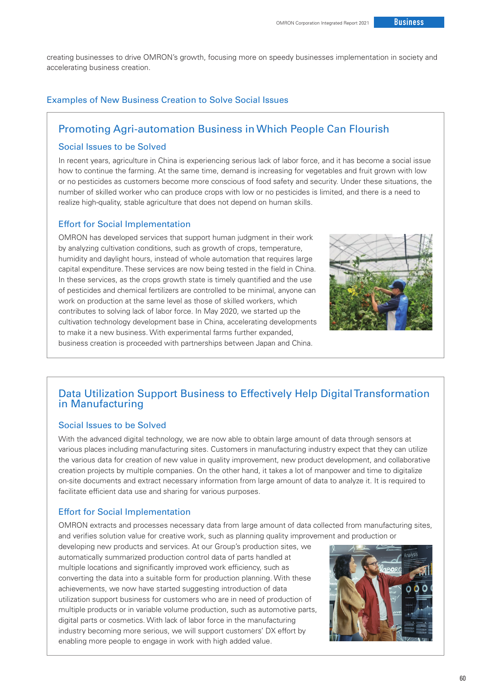creating businesses to drive OMRON's growth, focusing more on speedy businesses implementation in society and accelerating business creation.

### Examples of New Business Creation to Solve Social Issues

# Promoting Agri-automation Business in Which People Can Flourish

### Social Issues to be Solved

In recent years, agriculture in China is experiencing serious lack of labor force, and it has become a social issue how to continue the farming. At the same time, demand is increasing for vegetables and fruit grown with low or no pesticides as customers become more conscious of food safety and security. Under these situations, the number of skilled worker who can produce crops with low or no pesticides is limited, and there is a need to realize high-quality, stable agriculture that does not depend on human skills.

### Effort for Social Implementation

OMRON has developed services that support human judgment in their work by analyzing cultivation conditions, such as growth of crops, temperature, humidity and daylight hours, instead of whole automation that requires large capital expenditure. These services are now being tested in the field in China. In these services, as the crops growth state is timely quantified and the use of pesticides and chemical fertilizers are controlled to be minimal, anyone can work on production at the same level as those of skilled workers, which contributes to solving lack of labor force. In May 2020, we started up the cultivation technology development base in China, accelerating developments to make it a new business. With experimental farms further expanded, business creation is proceeded with partnerships between Japan and China.



# Data Utilization Support Business to Effectively Help Digital Transformation in Manufacturing

### Social Issues to be Solved

With the advanced digital technology, we are now able to obtain large amount of data through sensors at various places including manufacturing sites. Customers in manufacturing industry expect that they can utilize the various data for creation of new value in quality improvement, new product development, and collaborative creation projects by multiple companies. On the other hand, it takes a lot of manpower and time to digitalize on-site documents and extract necessary information from large amount of data to analyze it. It is required to facilitate efficient data use and sharing for various purposes.

### Effort for Social Implementation

OMRON extracts and processes necessary data from large amount of data collected from manufacturing sites, and verifies solution value for creative work, such as planning quality improvement and production or

developing new products and services. At our Group's production sites, we automatically summarized production control data of parts handled at multiple locations and significantly improved work efficiency, such as converting the data into a suitable form for production planning. With these achievements, we now have started suggesting introduction of data utilization support business for customers who are in need of production of multiple products or in variable volume production, such as automotive parts, digital parts or cosmetics. With lack of labor force in the manufacturing industry becoming more serious, we will support customers' DX effort by enabling more people to engage in work with high added value.

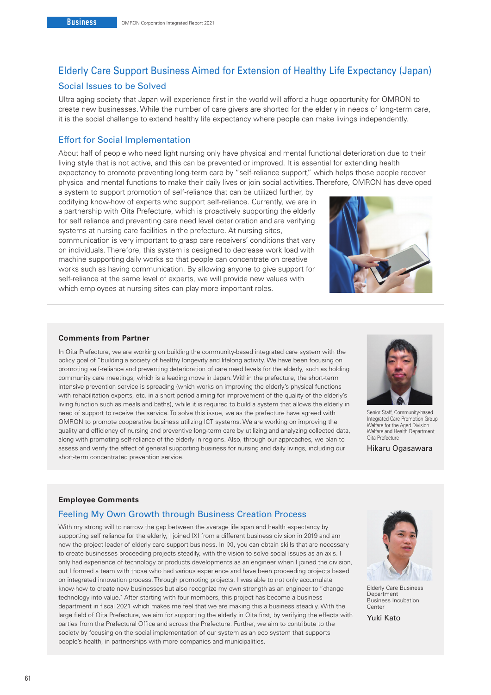# Elderly Care Support Business Aimed for Extension of Healthy Life Expectancy (Japan) Social Issues to be Solved

Ultra aging society that Japan will experience first in the world will afford a huge opportunity for OMRON to create new businesses. While the number of care givers are shorted for the elderly in needs of long-term care, it is the social challenge to extend healthy life expectancy where people can make livings independently.

### Effort for Social Implementation

About half of people who need light nursing only have physical and mental functional deterioration due to their living style that is not active, and this can be prevented or improved. It is essential for extending health expectancy to promote preventing long-term care by "self-reliance support," which helps those people recover physical and mental functions to make their daily lives or join social activities. Therefore, OMRON has developed

a system to support promotion of self-reliance that can be utilized further, by codifying know-how of experts who support self-reliance. Currently, we are in a partnership with Oita Prefecture, which is proactively supporting the elderly for self reliance and preventing care need level deterioration and are verifying systems at nursing care facilities in the prefecture. At nursing sites, communication is very important to grasp care receivers' conditions that vary on individuals. Therefore, this system is designed to decrease work load with machine supporting daily works so that people can concentrate on creative works such as having communication. By allowing anyone to give support for self-reliance at the same level of experts, we will provide new values with which employees at nursing sites can play more important roles.



#### **Comments from Partner**

In Oita Prefecture, we are working on building the community-based integrated care system with the policy goal of "building a society of healthy longevity and lifelong activity. We have been focusing on promoting self-reliance and preventing deterioration of care need levels for the elderly, such as holding community care meetings, which is a leading move in Japan. Within the prefecture, the short-term intensive prevention service is spreading (which works on improving the elderly's physical functions with rehabilitation experts, etc. in a short period aiming for improvement of the quality of the elderly's living function such as meals and baths), while it is required to build a system that allows the elderly in need of support to receive the service. To solve this issue, we as the prefecture have agreed with OMRON to promote cooperative business utilizing ICT systems. We are working on improving the quality and efficiency of nursing and preventive long-term care by utilizing and analyzing collected data, along with promoting self-reliance of the elderly in regions. Also, through our approaches, we plan to assess and verify the effect of general supporting business for nursing and daily livings, including our short-term concentrated prevention service.



Senior Staff, Community-based Integrated Care Promotion Group Welfare for the Aged Division Welfare and Health Department Oita Prefecture

Hikaru Ogasawara

#### **Employee Comments**

### Feeling My Own Growth through Business Creation Process

With my strong will to narrow the gap between the average life span and health expectancy by supporting self reliance for the elderly, I joined IXI from a different business division in 2019 and am now the project leader of elderly care support business. In IXI, you can obtain skills that are necessary to create businesses proceeding projects steadily, with the vision to solve social issues as an axis. I only had experience of technology or products developments as an engineer when I joined the division, but I formed a team with those who had various experience and have been proceeding projects based on integrated innovation process. Through promoting projects, I was able to not only accumulate know-how to create new businesses but also recognize my own strength as an engineer to "change technology into value." After starting with four members, this project has become a business department in fiscal 2021 which makes me feel that we are making this a business steadily. With the large field of Oita Prefecture, we aim for supporting the elderly in Oita first, by verifying the effects with parties from the Prefectural Office and across the Prefecture. Further, we aim to contribute to the society by focusing on the social implementation of our system as an eco system that supports people's health, in partnerships with more companies and municipalities.



Elderly Care Business **Department** Business Incubation **Center** 

Yuki Kato